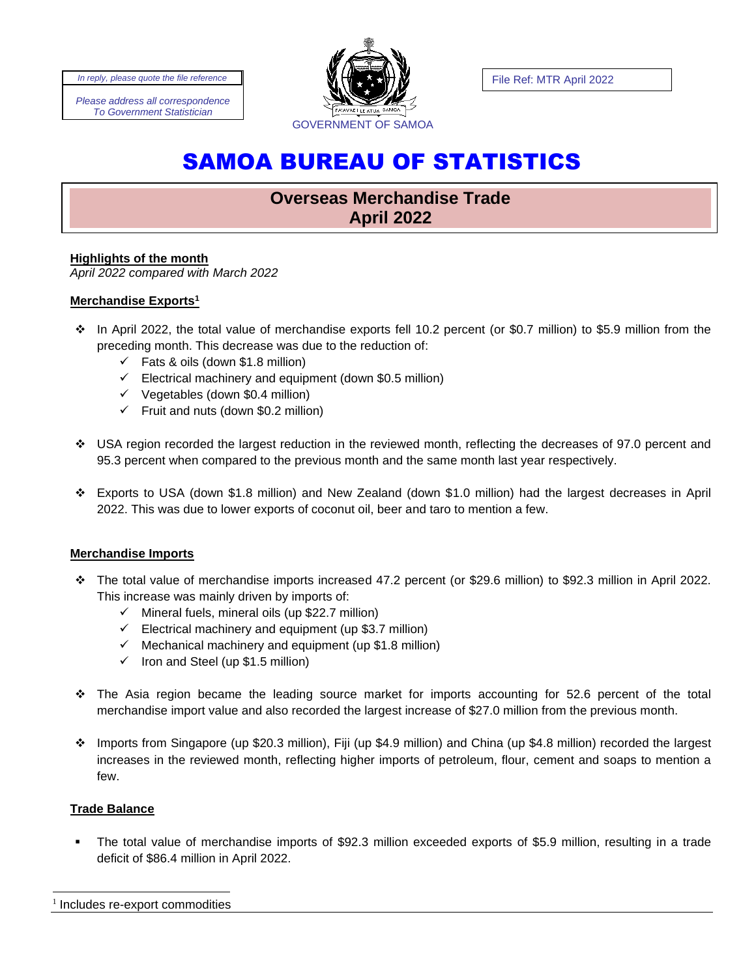*Please address all correspondence To Government Statistician*



# SAMOA BUREAU OF STATISTICS

## **Overseas Merchandise Trade April 2022**

## **Highlights of the month**

*April 2022 compared with March 2022*

## **Merchandise Exports<sup>1</sup>**

- ❖ In April 2022, the total value of merchandise exports fell 10.2 percent (or \$0.7 million) to \$5.9 million from the preceding month. This decrease was due to the reduction of:
	- $\checkmark$  Fats & oils (down \$1.8 million)
	- $\checkmark$  Electrical machinery and equipment (down \$0.5 million)
	- $\checkmark$  Vegetables (down \$0.4 million)
	- $\checkmark$  Fruit and nuts (down \$0.2 million)
- ❖ USA region recorded the largest reduction in the reviewed month, reflecting the decreases of 97.0 percent and 95.3 percent when compared to the previous month and the same month last year respectively.
- ❖ Exports to USA (down \$1.8 million) and New Zealand (down \$1.0 million) had the largest decreases in April 2022. This was due to lower exports of coconut oil, beer and taro to mention a few.

## **Merchandise Imports**

- ❖ The total value of merchandise imports increased 47.2 percent (or \$29.6 million) to \$92.3 million in April 2022. This increase was mainly driven by imports of:
	- $\checkmark$  Mineral fuels, mineral oils (up \$22.7 million)
	- $\checkmark$  Electrical machinery and equipment (up \$3.7 million)
	- $\checkmark$  Mechanical machinery and equipment (up \$1.8 million)
	- $\checkmark$  Iron and Steel (up \$1.5 million)
- ❖ The Asia region became the leading source market for imports accounting for 52.6 percent of the total merchandise import value and also recorded the largest increase of \$27.0 million from the previous month.
- ❖ Imports from Singapore (up \$20.3 million), Fiji (up \$4.9 million) and China (up \$4.8 million) recorded the largest increases in the reviewed month, reflecting higher imports of petroleum, flour, cement and soaps to mention a few.

#### **Trade Balance**

The total value of merchandise imports of \$92.3 million exceeded exports of \$5.9 million, resulting in a trade deficit of \$86.4 million in April 2022.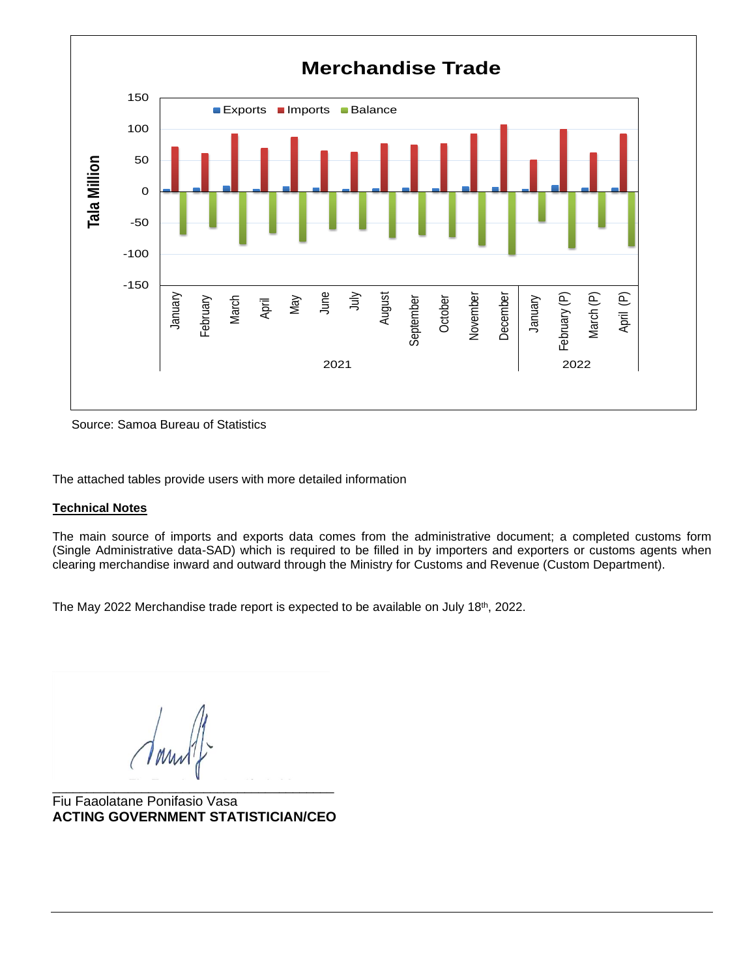

Source: Samoa Bureau of Statistics

The attached tables provide users with more detailed information

#### **Technical Notes**

The main source of imports and exports data comes from the administrative document; a completed customs form (Single Administrative data-SAD) which is required to be filled in by importers and exporters or customs agents when clearing merchandise inward and outward through the Ministry for Customs and Revenue (Custom Department).

The May 2022 Merchandise trade report is expected to be available on July 18<sup>th</sup>, 2022.

\_\_\_\_\_\_\_\_\_\_\_\_\_\_\_\_\_\_\_\_\_\_\_\_\_\_\_\_\_\_\_\_\_\_\_\_\_\_\_\_\_ Fiu Faaolatane Ponifasio Vasa **ACTING GOVERNMENT STATISTICIAN/CEO**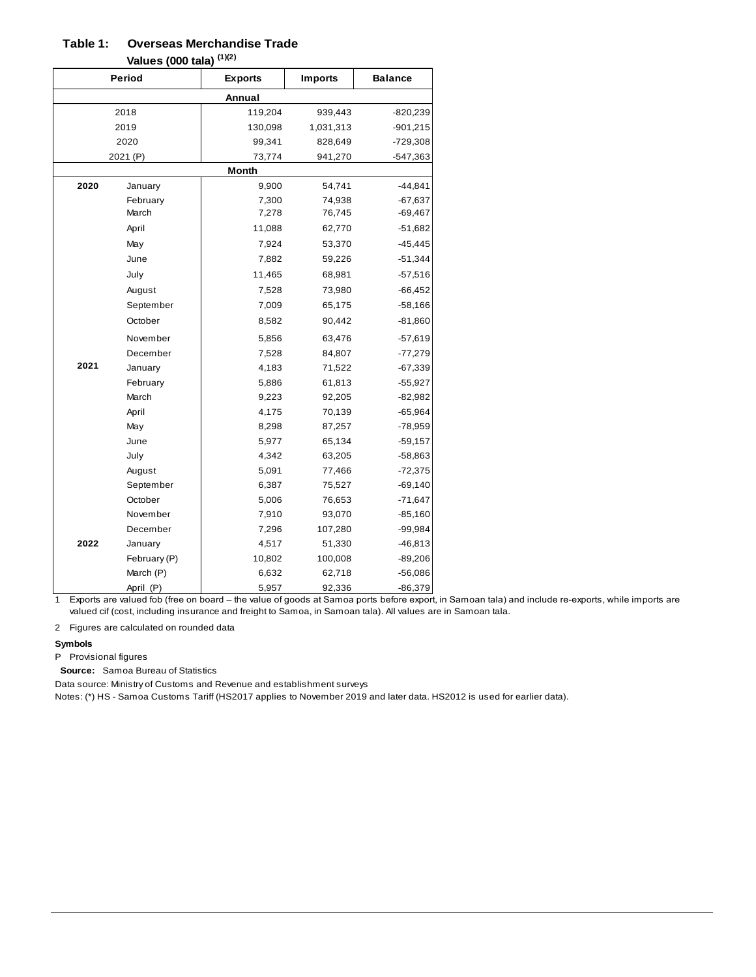#### **Overseas Merchandise Trade Table 1:**

**Values (000 tala) (1)(2)**

|      | , anavo (vov tala) |                |                |                |  |  |  |  |
|------|--------------------|----------------|----------------|----------------|--|--|--|--|
|      | <b>Period</b>      | <b>Exports</b> | <b>Imports</b> | <b>Balance</b> |  |  |  |  |
|      |                    | Annual         |                |                |  |  |  |  |
|      | 2018               | 119,204        | 939,443        | $-820,239$     |  |  |  |  |
|      | 2019               | 130,098        | 1,031,313      | $-901,215$     |  |  |  |  |
|      | 2020               | 99,341         | 828,649        | $-729,308$     |  |  |  |  |
|      | 2021 (P)           | 73,774         | 941,270        | $-547,363$     |  |  |  |  |
|      |                    | <b>Month</b>   |                |                |  |  |  |  |
| 2020 | January            | 9,900          | 54,741         | $-44,841$      |  |  |  |  |
|      | February           | 7,300          | 74,938         | $-67,637$      |  |  |  |  |
|      | March              | 7,278          | 76,745         | $-69,467$      |  |  |  |  |
|      | April              | 11,088         | 62,770         | $-51,682$      |  |  |  |  |
|      | May                | 7,924          | 53,370         | $-45,445$      |  |  |  |  |
|      | June               | 7,882          | 59,226         | $-51,344$      |  |  |  |  |
|      | July               | 11,465         | 68,981         | $-57,516$      |  |  |  |  |
|      | August             | 7,528          | 73,980         | $-66,452$      |  |  |  |  |
|      | September          | 7,009          | 65,175         | $-58,166$      |  |  |  |  |
|      | October            | 8,582          | 90,442         | $-81,860$      |  |  |  |  |
|      | November           | 5,856          | 63,476         | $-57,619$      |  |  |  |  |
|      | December           | 7,528          | 84,807         | $-77,279$      |  |  |  |  |
| 2021 | January            | 4,183          | 71,522         | $-67,339$      |  |  |  |  |
|      | February           | 5,886          | 61,813         | $-55,927$      |  |  |  |  |
|      | March              | 9,223          | 92,205         | $-82,982$      |  |  |  |  |
|      | April              | 4,175          | 70,139         | $-65,964$      |  |  |  |  |
|      | May                | 8,298          | 87,257         | $-78,959$      |  |  |  |  |
|      | June               | 5,977          | 65,134         | $-59,157$      |  |  |  |  |
|      | July               | 4,342          | 63,205         | -58,863        |  |  |  |  |
|      | August             | 5,091          | 77,466         | $-72,375$      |  |  |  |  |
|      | September          | 6,387          | 75,527         | $-69,140$      |  |  |  |  |
|      | October            | 5,006          | 76,653         | $-71,647$      |  |  |  |  |
|      | November           | 7,910          | 93,070         | $-85,160$      |  |  |  |  |
|      | December           | 7,296          | 107,280        | -99,984        |  |  |  |  |
| 2022 | January            | 4,517          | 51,330         | $-46,813$      |  |  |  |  |
|      | February (P)       | 10,802         | 100,008        | $-89,206$      |  |  |  |  |
|      | March (P)          | 6,632          | 62,718         | $-56,086$      |  |  |  |  |
|      | April (P)          | 5,957          | 92,336         | $-86,379$      |  |  |  |  |

1 Exports are valued fob (free on board – the value of goods at Samoa ports before export, in Samoan tala) and include re-exports, while imports are valued cif (cost, including insurance and freight to Samoa, in Samoan tala). All values are in Samoan tala.

2 Figures are calculated on rounded data

#### **Symbols**

P Provisional figures

Source: Samoa Bureau of Statistics

Data source: Ministry of Customs and Revenue and establishment surveys

Notes: (\*) HS - Samoa Customs Tariff (HS2017 applies to November 2019 and later data. HS2012 is used for earlier data).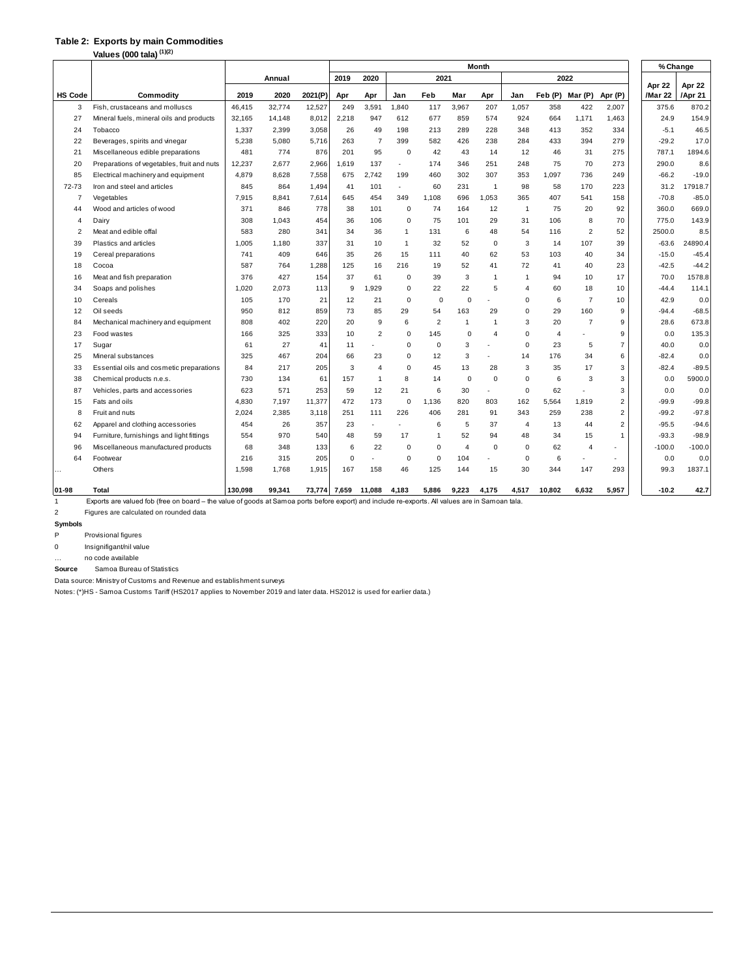#### **Table 2: Exports by main Commodities**

**Values (000 tala) (1)(2)**

|                | values (UUU tala)                                                                                                                                     |         |        |         | Month                     |                |              |                |                |                |                |         |                 |                |                   | % Change          |
|----------------|-------------------------------------------------------------------------------------------------------------------------------------------------------|---------|--------|---------|---------------------------|----------------|--------------|----------------|----------------|----------------|----------------|---------|-----------------|----------------|-------------------|-------------------|
|                |                                                                                                                                                       |         | Annual |         | 2019                      | 2020           |              | 2021           |                |                |                |         | 2022            |                |                   |                   |
| <b>HS Code</b> | Commodity                                                                                                                                             | 2019    | 2020   | 2021(P) | Apr                       | Apr            | Jan          | Feb            | Mar            | Apr            | Jan            | Feb (P) | Mar (P) Apr (P) |                | Apr 22<br>/Mar 22 | Apr 22<br>/Apr 21 |
| 3              | Fish, crustaceans and molluscs                                                                                                                        | 46,415  | 32,774 | 12,527  | 249                       | 3,591          | 1,840        | 117            | 3.967          | 207            | 1.057          | 358     | 422             | 2.007          | 375.6             | 870.2             |
| 27             | Mineral fuels, mineral oils and products                                                                                                              | 32.165  | 14,148 | 8,012   | 2,218                     | 947            | 612          | 677            | 859            | 574            | 924            | 664     | 1,171           | 1,463          | 24.9              | 154.9             |
| 24             | Tobacco                                                                                                                                               | 1,337   | 2,399  | 3,058   | 26                        | 49             | 198          | 213            | 289            | 228            | 348            | 413     | 352             | 334            | $-5.1$            | 46.5              |
| 22             | Beverages, spirits and vinegar                                                                                                                        | 5,238   | 5,080  | 5,716   | 263                       | $\overline{7}$ | 399          | 582            | 426            | 238            | 284            | 433     | 394             | 279            | $-29.2$           | 17.0              |
| 21             | Miscellaneous edible preparations                                                                                                                     | 481     | 774    | 876     | 201                       | 95             | $\mathbf 0$  | 42             | 43             | 14             | 12             | 46      | 31              | 275            | 787.1             | 1894.6            |
| 20             | Preparations of vegetables, fruit and nuts                                                                                                            | 12,237  | 2,677  | 2,966   | 1,619                     | 137            | $\sim$       | 174            | 346            | 251            | 248            | 75      | 70              | 273            | 290.0             | 8.6               |
| 85             | Electrical machinery and equipment                                                                                                                    | 4,879   | 8,628  | 7,558   | 675                       | 2,742          | 199          | 460            | 302            | 307            | 353            | 1,097   | 736             | 249            | $-66.2$           | $-19.0$           |
| 72-73          | Iron and steel and articles                                                                                                                           | 845     | 864    | 1,494   | 41                        | 101            | ×.           | 60             | 231            | $\overline{1}$ | 98             | 58      | 170             | 223            | 31.2              | 17918.7           |
| $\overline{7}$ | Vegetables                                                                                                                                            | 7,915   | 8,841  | 7,614   | 645                       | 454            | 349          | 1,108          | 696            | 1,053          | 365            | 407     | 541             | 158            | $-70.8$           | $-85.0$           |
| 44             | Wood and articles of wood                                                                                                                             | 371     | 846    | 778     | 38                        | 101            | $\mathbf 0$  | 74             | 164            | 12             | $\overline{1}$ | 75      | 20              | 92             | 360.0             | 669.0             |
| 4              | Dairy                                                                                                                                                 | 308     | 1,043  | 454     | 36                        | 106            | 0            | 75             | 101            | 29             | 31             | 106     | 8               | 70             | 775.0             | 143.9             |
| 2              | Meat and edible offal                                                                                                                                 | 583     | 280    | 341     | 34                        | 36             | $\mathbf{1}$ | 131            | 6              | 48             | 54             | 116     | $\overline{2}$  | 52             | 2500.0            | 8.5               |
| 39             | Plastics and articles                                                                                                                                 | 1.005   | 1.180  | 337     | 31                        | 10             | $\mathbf{1}$ | 32             | 52             | $\mathbf 0$    | 3              | 14      | 107             | 39             | $-63.6$           | 24890.4           |
| 19             | Cereal preparations                                                                                                                                   | 741     | 409    | 646     | 35                        | 26             | 15           | 111            | 40             | 62             | 53             | 103     | 40              | 34             | $-15.0$           | $-45.4$           |
| 18             | Cocoa                                                                                                                                                 | 587     | 764    | 1,288   | 125                       | 16             | 216          | 19             | 52             | 41             | 72             | 41      | 40              | 23             | $-42.5$           | $-44.2$           |
| 16             | Meat and fish preparation                                                                                                                             | 376     | 427    | 154     | 37                        | 61             | $\mathsf 0$  | 39             | 3              | $\mathbf{1}$   | $\mathbf{1}$   | 94      | 10              | 17             | 70.0              | 1578.8            |
| 34             | Soaps and polishes                                                                                                                                    | 1.020   | 2,073  | 113     | 9                         | 1,929          | $\mathbf 0$  | 22             | 22             | 5              | $\overline{4}$ | 60      | 18              | 10             | $-44.4$           | 114.1             |
| 10             | Cereals                                                                                                                                               | 105     | 170    | 21      | 12                        | 21             | $\mathsf 0$  | $\mathbf 0$    | $\mathbf 0$    |                | $\mathbf 0$    | 6       | $\overline{7}$  | 10             | 42.9              | 0.0               |
| 12             | Oil seeds                                                                                                                                             | 950     | 812    | 859     | 73                        | 85             | 29           | 54             | 163            | 29             | $\mathbf 0$    | 29      | 160             | 9              | $-94.4$           | $-68.5$           |
| 84             | Mechanical machinery and equipment                                                                                                                    | 808     | 402    | 220     | 20                        | 9              | 6            | $\overline{2}$ | $\mathbf{1}$   | $\overline{1}$ | 3              | 20      | $\overline{7}$  | 9              | 28.6              | 673.8             |
| 23             | Food wastes                                                                                                                                           | 166     | 325    | 333     | 10                        | $\overline{2}$ | $\mathsf 0$  | 145            | $\mathbf 0$    | $\overline{4}$ | 0              | 4       |                 | 9              | 0.0               | 135.3             |
| 17             | Sugar                                                                                                                                                 | 61      | 27     | 41      | 11                        |                | $\mathbf 0$  | $\mathbf 0$    | 3              |                | $\mathbf 0$    | 23      | 5               | $\overline{7}$ | 40.0              | 0.0               |
| 25             | Mineral substances                                                                                                                                    | 325     | 467    | 204     | 66                        | 23             | $\mathbf 0$  | 12             | 3              | ä,             | 14             | 176     | 34              | 6              | $-82.4$           | 0.0               |
| 33             | Essential oils and cosmetic preparations                                                                                                              | 84      | 217    | 205     | 3                         | $\overline{4}$ | $\mathbf 0$  | 45             | 13             | 28             | 3              | 35      | 17              | 3              | $-82.4$           | $-89.5$           |
| 38             | Chemical products n.e.s.                                                                                                                              | 730     | 134    | 6'      | 157                       | 1              | 8            | 14             | $\mathbf 0$    | $\mathbf 0$    | $\Omega$       | 6       | 3               | 3              | 0.0               | 5900.0            |
| 87             | Vehicles, parts and accessories                                                                                                                       | 623     | 571    | 253     | 59                        | 12             | 21           | 6              | 30             | ä,             | $\mathbf 0$    | 62      |                 | 3              | 0.0               | 0.0               |
| 15             | Fats and oils                                                                                                                                         | 4,830   | 7,197  | 11,377  | 472                       | 173            | $\mathbf 0$  | 1,136          | 820            | 803            | 162            | 5,564   | 1,819           | $\overline{2}$ | $-99.9$           | $-99.8$           |
| 8              | Fruit and nuts                                                                                                                                        | 2,024   | 2,385  | 3,118   | 251                       | 111            | 226          | 406            | 281            | 91             | 343            | 259     | 238             | $\overline{2}$ | $-99.2$           | $-97.8$           |
| 62             | Apparel and clothing accessories                                                                                                                      | 454     | 26     | 357     | 23                        |                |              | 6              | 5              | 37             | $\overline{4}$ | 13      | 44              | $\overline{2}$ | $-95.5$           | $-94.6$           |
| 94             | Furniture, furnishings and light fittings                                                                                                             | 554     | 970    | 540     | 48                        | 59             | 17           | 1              | 52             | 94             | 48             | 34      | 15              | $\overline{1}$ | $-93.3$           | $-98.9$           |
| 96             | Miscellaneous manufactured products                                                                                                                   | 68      | 348    | 133     | 6                         | 22             | $\mathbf 0$  | $\mathbf 0$    | $\overline{4}$ | $\mathbf 0$    | $\mathbf 0$    | 62      | $\overline{4}$  | ٠              | $-100.0$          | $-100.0$          |
| 64             | Footwear                                                                                                                                              | 216     | 315    | 205     | $\Omega$                  |                | $\mathsf 0$  | $\mathbf 0$    | 104            | ÷.             | 0              | 6       |                 |                | 0.0               | 0.0               |
| $\cdots$       | Others                                                                                                                                                | 1,598   | 1,768  | 1,915   | 167                       | 158            | 46           | 125            | 144            | 15             | 30             | 344     | 147             | 293            | 99.3              | 1837.1            |
| 01-98          | Total<br>Funeth are injured feb (free on board - the injure of goods of Components before simply and include to simply a All injures are in Componish | 130,098 | 99,341 |         | 73,774 7,659 11,088 4,183 |                |              | 5,886          | 9,223          | 4,175          | 4,517          | 10.802  | 6.632           | 5,957          | $-10.2$           | 42.7              |

1 Exports are valued fob (free on board – the value of goods at Samoa ports before export) and include re-exports. All values are in Samoan tala.

2 Figures are calculated on rounded data

**Symbols**

P Provisional figures

0 Insignifigant/nil value

… no code available

**Source** Samoa Bureau of Statistics

Data source: Ministry of Customs and Revenue and establishment surveys

Notes: (\*)HS - Samoa Customs Tariff (HS2017 applies to November 2019 and later data. HS2012 is used for earlier data.)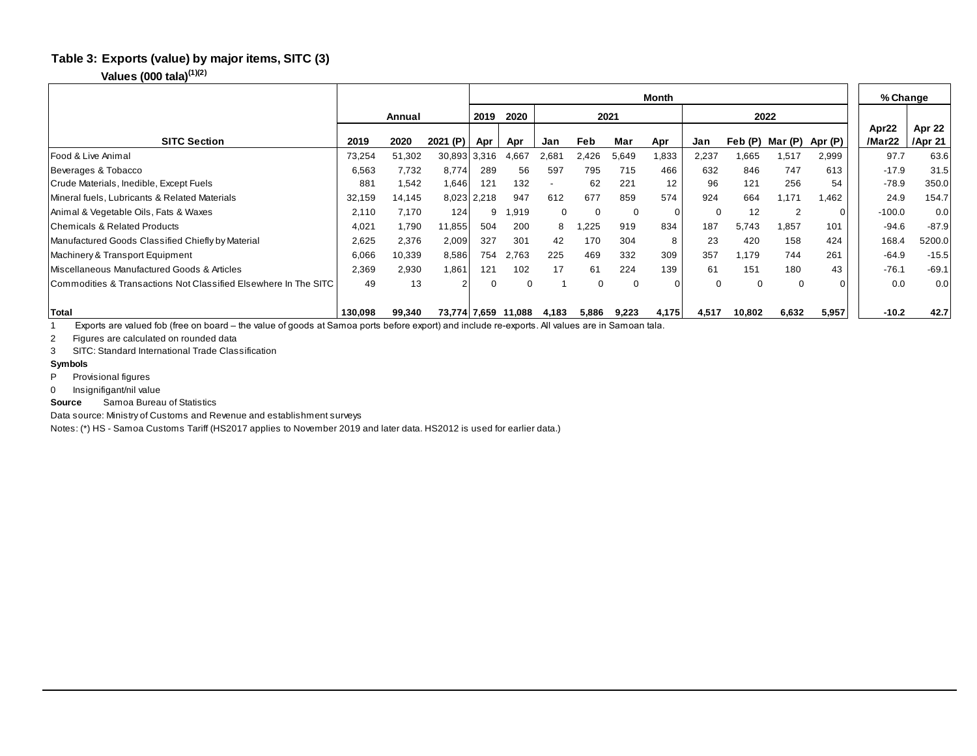#### **Table 3: Exports (value) by major items, SITC (3)**

#### **Values (000 tala)(1)(2)**

|                                                                                                                                                                      |         |        |          | Month       |                     |             |          |       |          |          |          |                |          |                 | % Change          |
|----------------------------------------------------------------------------------------------------------------------------------------------------------------------|---------|--------|----------|-------------|---------------------|-------------|----------|-------|----------|----------|----------|----------------|----------|-----------------|-------------------|
|                                                                                                                                                                      |         | Annual |          | 2019        | 2020                | 2021        |          |       |          |          | 2022     |                |          |                 |                   |
| <b>SITC Section</b>                                                                                                                                                  | 2019    | 2020   | 2021 (P) | Apr         | Apr                 | Jan         | Feb      | Mar   | Apr      | Jan      | Feb (P)  | Mar (P)        | Apr (P)  | Apr22<br>/Mar22 | Apr 22<br>/Apr 21 |
| Food & Live Animal                                                                                                                                                   | 73,254  | 51,302 | 30,893   | 3,316       | 4,667               | 2,681       | 2,426    | 5,649 | 1,833    | 2,237    | 1,665    | 1,517          | 2,999    | 97.7            | 63.6              |
| Beverages & Tobacco                                                                                                                                                  | 6,563   | 7,732  | 8,774    | 289         | 56                  | 597         | 795      | 715   | 466      | 632      | 846      | 747            | 613      | $-17.9$         | 31.5              |
| Crude Materials, Inedible, Except Fuels                                                                                                                              | 881     | 1,542  | 1,646    | 121         | 132                 |             | 62       | 221   | 12       | 96       | 121      | 256            | 54       | $-78.9$         | 350.0             |
| Mineral fuels, Lubricants & Related Materials                                                                                                                        | 32,159  | 14,145 |          | 8,023 2,218 | 947                 | 612         | 677      | 859   | 574      | 924      | 664      | 1.171          | 1.462    | 24.9            | 154.7             |
| Animal & Vegetable Oils, Fats & Waxes                                                                                                                                | 2,110   | 7,170  | 124      |             | 919.                | $\mathbf 0$ | 0        | 0     | $\Omega$ | 0        | 12       | $\overline{2}$ | $\Omega$ | $-100.0$        | 0.0               |
| Chemicals & Related Products                                                                                                                                         | 4,021   | 1,790  | 11,855   | 504         | 200                 | 8           | ,225     | 919   | 834      | 187      | 5,743    | 1,857          | 101      | $-94.6$         | $-87.9$           |
| Manufactured Goods Classified Chiefly by Material                                                                                                                    | 2,625   | 2,376  | 2,009    | 327         | 301                 | 42          | 170      | 304   | 8        | 23       | 420      | 158            | 424      | 168.4           | 5200.0            |
| Machinery & Transport Equipment                                                                                                                                      | 6,066   | 10,339 | 8,586    | 754         | 2.763               | 225         | 469      | 332   | 309      | 357      | 1.179    | 744            | 261      | $-64.9$         | $-15.5$           |
| Miscellaneous Manufactured Goods & Articles                                                                                                                          | 2,369   | 2,930  | 1,861    | 121         | 102                 | 17          | 61       | 224   | 139      | 61       | 151      | 180            | 43       | $-76.1$         | $-69.1$           |
| Commodities & Transactions Not Classified Elsewhere In The SITC                                                                                                      | 49      | 13     | 2        |             |                     |             | $\Omega$ | 0     | $\Omega$ | $\Omega$ | $\Omega$ | $\Omega$       |          | 0.0             | 0.0               |
| <b>Total</b>                                                                                                                                                         | 130.098 | 99,340 |          |             | 73,774 7,659 11,088 | 4,183       | 5,886    | 9,223 | 4,175    | 4,517    | 10,802   | 6,632          | 5,957    | $-10.2$         | 42.7              |
| Exports are valued fob (free on board – the value of goods at Samoa ports before export) and include re-exports. All values are in Samoan tala.                      |         |        |          |             |                     |             |          |       |          |          |          |                |          |                 |                   |
| Figures are calculated on rounded data<br>2                                                                                                                          |         |        |          |             |                     |             |          |       |          |          |          |                |          |                 |                   |
| SITC: Standard International Trade Classification<br>3                                                                                                               |         |        |          |             |                     |             |          |       |          |          |          |                |          |                 |                   |
| <b>Symbols</b>                                                                                                                                                       |         |        |          |             |                     |             |          |       |          |          |          |                |          |                 |                   |
| P<br>Provisional figures                                                                                                                                             |         |        |          |             |                     |             |          |       |          |          |          |                |          |                 |                   |
| $\Omega$<br>Insignifigant/nil value                                                                                                                                  |         |        |          |             |                     |             |          |       |          |          |          |                |          |                 |                   |
| Samoa Bureau of Statistics<br><b>Source</b><br>$\mathbf{r}$ , $\mathbf{r}$ , $\mathbf{r}$ , $\mathbf{r}$ , $\mathbf{r}$ , $\mathbf{r}$ , $\mathbf{r}$ , $\mathbf{r}$ |         |        |          |             |                     |             |          |       |          |          |          |                |          |                 |                   |

#### **Symbols**

- P Provisional figures
- 

Data source: Ministry of Customs and Revenue and establishment surveys

Notes: (\*) HS - Samoa Customs Tariff (HS2017 applies to November 2019 and later data. HS2012 is used for earlier data.)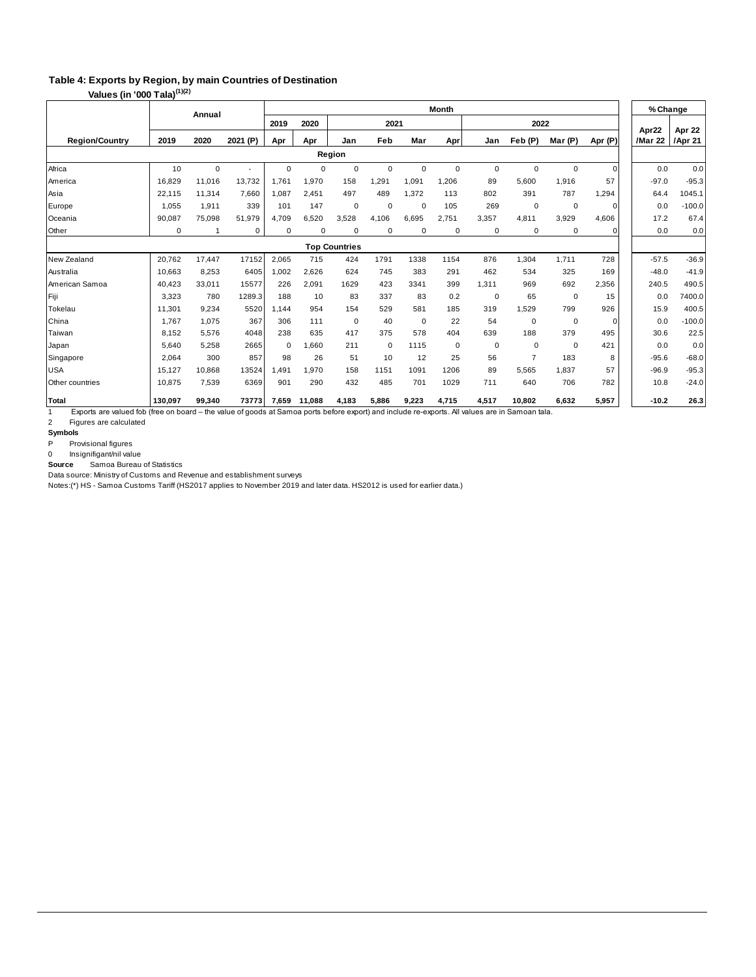## **Table 4: Exports by Region, by main Countries of Destination**

**Values (in '000 Tala)(1)(2)**

|                       |         | Annual      |          |                      |             |             | % Change |             |             |       |                |             |              |                  |                   |
|-----------------------|---------|-------------|----------|----------------------|-------------|-------------|----------|-------------|-------------|-------|----------------|-------------|--------------|------------------|-------------------|
|                       |         |             |          | 2019                 | 2020        |             | 2021     |             |             |       | 2022           |             |              |                  |                   |
| <b>Region/Country</b> | 2019    | 2020        | 2021 (P) | Apr                  | Apr         | Jan         | Feb      | Mar         | Apr         | Jan   | Feb (P)        | Mar (P)     | Apr (P)      | Apr22<br>/Mar 22 | Apr 22<br>/Apr 21 |
|                       |         |             |          |                      |             | Region      |          |             |             |       |                |             |              |                  |                   |
| Africa                | 10      | $\mathbf 0$ |          | 0                    | $\mathbf 0$ | $\mathbf 0$ | 0        | 0           | $\mathbf 0$ | 0     | $\mathbf 0$    | $\mathbf 0$ | $\mathbf{0}$ | 0.0              | 0.0               |
| America               | 16.829  | 11,016      | 13,732   | 1,761                | 1,970       | 158         | 1,291    | 1,091       | 1,206       | 89    | 5,600          | 1,916       | 57           | $-97.0$          | $-95.3$           |
| Asia                  | 22.115  | 11,314      | 7.660    | 1.087                | 2.451       | 497         | 489      | 1,372       | 113         | 802   | 391            | 787         | 1,294        | 64.4             | 1045.1            |
| Europe                | 1,055   | 1,911       | 339      | 101                  | 147         | $\mathbf 0$ | 0        | 0           | 105         | 269   | $\mathbf 0$    | 0           | $\Omega$     | 0.0              | $-100.0$          |
| Oceania               | 90,087  | 75,098      | 51,979   | 4,709                | 6,520       | 3,528       | 4,106    | 6,695       | 2,751       | 3,357 | 4,811          | 3,929       | 4,606        | 17.2             | 67.4              |
| Other                 | 0       |             | 0        | $\Omega$             | $\mathbf 0$ | $\mathbf 0$ | 0        | 0           | $\mathbf 0$ | 0     | 0              | 0           | $\mathbf{0}$ | 0.0              | 0.0               |
|                       |         |             |          | <b>Top Countries</b> |             |             |          |             |             |       |                |             |              |                  |                   |
| New Zealand           | 20.762  | 17,447      | 17152    | 2,065                | 715         | 424         | 1791     | 1338        | 1154        | 876   | 1,304          | 1.711       | 728          | $-57.5$          | $-36.9$           |
| Australia             | 10,663  | 8,253       | 6405     | 1,002                | 2,626       | 624         | 745      | 383         | 291         | 462   | 534            | 325         | 169          | $-48.0$          | $-41.9$           |
| American Samoa        | 40,423  | 33,011      | 15577    | 226                  | 2,091       | 1629        | 423      | 3341        | 399         | 1,311 | 969            | 692         | 2,356        | 240.5            | 490.5             |
| Fiji                  | 3,323   | 780         | 1289.3   | 188                  | 10          | 83          | 337      | 83          | 0.2         | 0     | 65             | $\mathbf 0$ | 15           | 0.0              | 7400.0            |
| Tokelau               | 11.301  | 9,234       | 5520     | 1.144                | 954         | 154         | 529      | 581         | 185         | 319   | 1,529          | 799         | 926          | 15.9             | 400.5             |
| China                 | 1.767   | 1,075       | 367      | 306                  | 111         | $\mathbf 0$ | 40       | $\mathbf 0$ | 22          | 54    | $\mathbf 0$    | 0           | $\Omega$     | 0.0              | $-100.0$          |
| Taiwan                | 8.152   | 5,576       | 4048     | 238                  | 635         | 417         | 375      | 578         | 404         | 639   | 188            | 379         | 495          | 30.6             | 22.5              |
| Japan                 | 5,640   | 5,258       | 2665     | $\Omega$             | 1,660       | 211         | 0        | 1115        | 0           | 0     | $\mathbf 0$    | $\mathbf 0$ | 421          | 0.0              | 0.0               |
| Singapore             | 2.064   | 300         | 857      | 98                   | 26          | 51          | 10       | 12          | 25          | 56    | $\overline{7}$ | 183         | 8            | $-95.6$          | $-68.0$           |
| <b>USA</b>            | 15.127  | 10,868      | 13524    | .491                 | 1,970       | 158         | 1151     | 1091        | 1206        | 89    | 5,565          | 1.837       | 57           | $-96.9$          | $-95.3$           |
| Other countries       | 10,875  | 7,539       | 6369     | 901                  | 290         | 432         | 485      | 701         | 1029        | 711   | 640            | 706         | 782          | 10.8             | $-24.0$           |
| <b>Total</b>          | 130.097 | 99,340      | 73773    | 7.659                | 11.088      | 4.183       | 5.886    | 9,223       | 4,715       | 4,517 | 10,802         | 6.632       | 5,957        | $-10.2$          | 26.3              |

1 Exports are valued fob (free on board – the value of goods at Samoa ports before export) and include re-exports. All values are in Samoan tala.

2 Figures are calculated

**Symbols**<br>P Prov Provisional figures

0 Insignifigant/nil value

Source Samoa Bureau of Statistics

Data source: Ministry of Customs and Revenue and establishment surveys

Notes:(\*) HS - Samoa Customs Tariff (HS2017 applies to November 2019 and later data. HS2012 is used for earlier data.)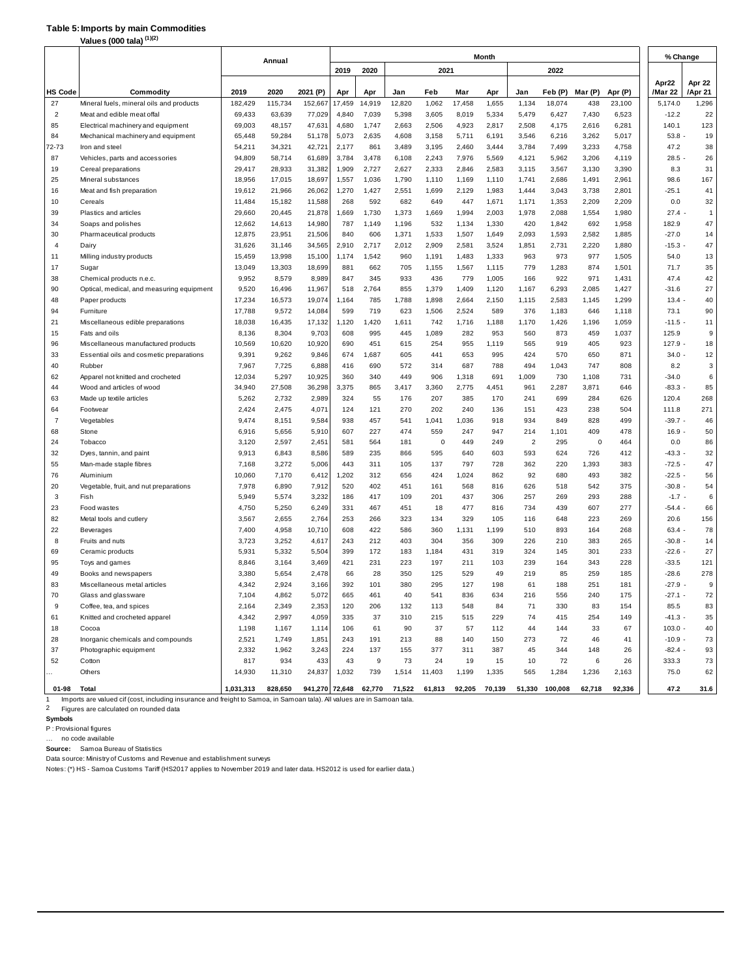#### **Table 5:Imports by main Commodities**

**Values (000 tala) (1)(2)**

|                | (1)(2)<br>Values (000 tala)                            |                  |                  |                  |                |              |                |                |                |                |                |                |                |                |                  |                |
|----------------|--------------------------------------------------------|------------------|------------------|------------------|----------------|--------------|----------------|----------------|----------------|----------------|----------------|----------------|----------------|----------------|------------------|----------------|
|                |                                                        |                  | Annual           |                  |                |              |                |                |                | Month          |                |                |                |                |                  | % Change       |
|                |                                                        |                  |                  |                  | 2019           | 2020         |                | 2021           |                |                |                | 2022           |                |                |                  |                |
|                |                                                        |                  |                  |                  |                |              |                |                |                |                |                |                |                |                | Apr22            | Apr 22         |
| HS Code        | Commodity                                              | 2019             | 2020             | 2021 (P)         | Apr            | Apr          | Jan            | Feb            | Mar            | Apr            | Jan            | Feb (P)        | Mar (P)        | Apr (P)        | /Mar 22          | /Apr 21        |
| 27             | Mineral fuels, mineral oils and products               | 182,429          | 115,734          | 152,667          | 17,459         | 14,919       | 12,820         | 1,062          | 17,458         | 1,655          | 1,134          | 18,074         | 438            | 23,100         | 5,174.0          | 1,296          |
| $\overline{2}$ | Meat and edible meat offal                             | 69,433           | 63,639           | 77,029           | 4,840          | 7,039        | 5,398          | 3,605          | 8,019          | 5,334          | 5,479          | 6,427          | 7,430          | 6,523          | $-12.2$          | 22             |
| 85             | Electrical machinery and equipment                     | 69,003           | 48,157           | 47,631           | 4,680          | 1,747        | 2,663          | 2,506          | 4,923          | 2,817          | 2,508          | 4,175          | 2,616          | 6,281          | 140.1            | 123            |
| 84             | Mechanical machinery and equipment<br>Iron and steel   | 65,448           | 59,284           | 51,178           | 5,073          | 2,635<br>861 | 4,608<br>3,489 | 3,158<br>3,195 | 5,711<br>2,460 | 6,191          | 3,546          | 6,216<br>7,499 | 3,262<br>3,233 | 5,017          | $53.8 -$<br>47.2 | 19<br>38       |
| 72-73<br>87    |                                                        | 54,211           | 34,321           | 42,721           | 2,177          | 3,478        |                | 2,243          | 7,976          | 3,444<br>5,569 | 3,784          | 5,962          | 3,206          | 4,758          | $28.5 -$         | 26             |
| 19             | Vehicles, parts and accessories<br>Cereal preparations | 94,809<br>29,417 | 58,714<br>28,933 | 61,689<br>31,382 | 3,784<br>1,909 | 2,727        | 6,108<br>2,627 | 2,333          | 2,846          | 2,583          | 4,121<br>3,115 | 3,567          | 3,130          | 4,119<br>3,390 | 8.3              | 31             |
| 25             | Mineral substances                                     | 18,956           | 17,015           | 18,697           | 1,557          | 1,036        | 1,790          | 1,110          | 1,169          | 1,110          | 1,741          | 2,686          | 1,491          | 2,961          | 98.6             | 167            |
| 16             | Meat and fish preparation                              | 19,612           | 21,966           | 26,062           | 1,270          | 1,427        | 2,551          | 1,699          | 2,129          | 1,983          | 1,444          | 3,043          | 3,738          | 2,801          | $-25.1$          | 41             |
| 10             | Cereals                                                | 11,484           | 15,182           | 11,588           | 268            | 592          | 682            | 649            | 447            | 1,671          | 1,171          | 1,353          | 2,209          | 2,209          | 0.0              | 32             |
| 39             | Plastics and articles                                  | 29,660           | 20,445           | 21,878           | 1,669          | 1,730        | 1,373          | 1,669          | 1,994          | 2,003          | 1,978          | 2,088          | 1,554          | 1,980          | 27.4             | $\overline{1}$ |
| 34             | Soaps and polishes                                     | 12,662           | 14,613           | 14,980           | 787            | 1,149        | 1,196          | 532            | 1,134          | 1,330          | 420            | 1,842          | 692            | 1,958          | 182.9            | 47             |
| 30             | Pharmaceutical products                                | 12,875           | 23,951           | 21,506           | 840            | 606          | 1,371          | 1,533          | 1,507          | 1,649          | 2,093          | 1,593          | 2,582          | 1,885          | $-27.0$          | 14             |
| 4              | Dairy                                                  | 31,626           | 31,146           | 34,565           | 2,910          | 2,717        | 2,012          | 2,909          | 2,581          | 3,524          | 1,851          | 2,731          | 2,220          | 1,880          | $-15.3$          | 47             |
| 11             | Milling industry products                              | 15,459           | 13,998           | 15,100           | 1,174          | 1,542        | 960            | 1,191          | 1,483          | 1,333          | 963            | 973            | 977            | 1,505          | 54.0             | 13             |
| 17             | Sugar                                                  | 13,049           | 13,303           | 18,699           | 881            | 662          | 705            | 1,155          | 1,567          | 1,115          | 779            | 1,283          | 874            | 1,501          | 71.7             | 35             |
| 38             | Chemical products n.e.c.                               | 9,952            | 8,579            | 8,989            | 847            | 345          | 933            | 436            | 779            | 1,005          | 166            | 922            | 971            | 1,431          | 47.4             | 42             |
| 90             | Optical, medical, and measuring equipment              | 9,520            | 16,496           | 11,967           | 518            | 2,764        | 855            | 1,379          | 1,409          | 1,120          | 1,167          | 6,293          | 2,085          | 1,427          | $-31.6$          | 27             |
| 48             | Paper products                                         | 17,234           | 16,573           | 19,074           | 1,164          | 785          | 1,788          | 1,898          | 2,664          | 2,150          | 1,115          | 2,583          | 1,145          | 1,299          | 13.4             | 40             |
| 94             | Furniture                                              | 17,788           | 9,572            | 14,084           | 599            | 719          | 623            | 1,506          | 2,524          | 589            | 376            | 1,183          | 646            | 1,118          | 73.1             | 90             |
| 21             | Miscellaneous edible preparations                      | 18,038           | 16,435           | 17,132           | 1,120          | 1,420        | 1,611          | 742            | 1,716          | 1,188          | 1,170          | 1,426          | 1,196          | 1,059          | $-11.5$          | 11             |
| 15             | Fats and oils                                          | 8,136            | 8,304            | 9,703            | 608            | 995          | 445            | 1,089          | 282            | 953            | 560            | 873            | 459            | 1,037          | 125.9            | 9              |
| 96             | Miscellaneous manufactured products                    | 10,569           | 10,620           | 10,920           | 690            | 451          | 615            | 254            | 955            | 1,119          | 565            | 919            | 405            | 923            | $127.9 -$        | 18             |
| 33             | Essential oils and cosmetic preparations               | 9,391            | 9,262            | 9,846            | 674            | 1,687        | 605            | 441            | 653            | 995            | 424            | 570            | 650            | 871            | 34.0             | 12             |
| 40             | Rubber                                                 | 7,967            | 7,725            | 6,888            | 416            | 690          | 572            | 314            | 687            | 788            | 494            | 1,043          | 747            | 808            | 8.2              | 3              |
| 62             | Apparel not knitted and crocheted                      | 12,034           | 5,297            | 10,925           | 360            | 340          | 449            | 906            | 1,318          | 691            | 1,009          | 730            | 1,108          | 731            | $-34.0$          | 6              |
| 44             | Wood and articles of wood                              | 34,940           | 27,508           | 36,298           | 3,375          | 865          | 3,417          | 3,360          | 2,775          | 4,451          | 961            | 2,287          | 3,871          | 646            | $-83.3$          | 85             |
| 63             | Made up textile articles                               | 5,262            | 2,732            | 2,989            | 324            | 55           | 176            | 207            | 385            | 170            | 241            | 699            | 284            | 626            | 120.4            | 268            |
| 64             | Footwear                                               | 2,424            | 2,475            | 4,071            | 124            | 121          | 270            | 202            | 240            | 136            | 151            | 423            | 238            | 504            | 111.8            | 271            |
| $\overline{7}$ | Vegetables                                             | 9,474            | 8,151            | 9,584            | 938            | 457          | 541            | 1,041          | 1,036          | 918            | 934            | 849            | 828            | 499            | $-39.7 -$        | 46             |
| 68             | Stone                                                  | 6,916            | 5,656            | 5,910            | 607            | 227          | 474            | 559            | 247            | 947            | 214            | 1,101          | 409            | 478            | $16.9 -$         | 50             |
| 24             | Tobacco                                                | 3,120            | 2,597            | 2,451            | 581            | 564          | 181            | 0              | 449            | 249            | $\overline{2}$ | 295            | $\mathbf 0$    | 464            | 0.0              | 86             |
| 32             | Dyes, tannin, and paint                                | 9,913            | 6,843            | 8,586            | 589            | 235          | 866            | 595            | 640            | 603            | 593            | 624            | 726            | 412            | $-43.3 -$        | 32             |
| 55             | Man-made staple fibres                                 | 7,168            | 3,272            | 5,006            | 443            | 311          | 105            | 137            | 797            | 728            | 362            | 220            | 1,393          | 383            | $-72.5 -$        | 47             |
| 76             | Aluminium                                              | 10,060           | 7,170            | 6,412            | 1,202          | 312          | 656            | 424            | 1,024          | 862            | 92             | 680            | 493            | 382            | $-22.5 -$        | 56             |
| 20             | Vegetable, fruit, and nut preparations                 | 7,978            | 6,890            | 7,912            | 520            | 402          | 451            | 161            | 568            | 816            | 626            | 518            | 542            | 375            | $-30.8 -$        | 54             |
| 3              | Fish                                                   | 5,949            | 5,574            | 3,232            | 186            | 417          | 109            | 201            | 437            | 306            | 257            | 269            | 293            | 288            | $-1.7 -$         | 6              |
| 23             | Food wastes                                            | 4,750            | 5,250            | 6,249            | 331            | 467          | 451            | 18             | 477            | 816            | 734            | 439            | 607            | 277            | $-54.4 -$        | 66             |
| 82             | Metal tools and cutlery                                | 3,567            | 2,655            | 2,764            | 253            | 266          | 323            | 134            | 329            | 105            | 116            | 648            | 223            | 269            | 20.6             | 156            |
| 22             | Beverages                                              | 7,400            | 4,958            | 10,710           | 608            | 422          | 586            | 360            | 1,131          | 1,199          | 510            | 893            | 164            | 268            | $63.4 -$         | 78             |
| 8              | Fruits and nuts                                        | 3,723            | 3,252            | 4,617            | 243            | 212          | 403            | 304            | 356            | 309            | 226            | 210            | 383            | 265            | $-30.8 -$        | 14             |
| 69             | Ceramic products                                       | 5,931            | 5,332            | 5,504            | 399            | 172          | 183            | 1,184          | 431            | 319            | 324            | 145            | 301            | 233            | $-22.6$ -        | 27             |
| 95             | Toys and games                                         | 8,846            | 3,164            | 3,469            | 421            | 231          | 223            | 197            | 211            | 103            | 239            | 164            | 343            | 228            | $-33.5$          | 121            |
| 49             | Books and newspapers                                   | 3,380            | 5,654            | 2,478            | 66             | 28           | 350            | 125            | 529            | 49             | 219            | 85             | 259            | 185            | $-28.6$          | 278            |
| 83             | Miscellaneous metal articles                           | 4,342            | 2,924            | 3,166            | 392            | 101          | 380            | 295            | 127            | 198            | 61             | 188            | 251            | 181            | -27.9            | 9              |
| 70             | Glass and glassware                                    | 7,104            | 4,862            | 5,072            | 665            | 461          | 40             | 541            | 836            | 634            | 216            | 556            | 240            | 175            | $-27.1$          | 72             |
| 9              | Coffee, tea, and spices                                | 2,164            | 2,349            | 2,353            | 120            | 206          | 132            | 113            | 548            | 84             | 71             | 330            | 83             | 154            | 85.5             | 83             |
| 61             | Knitted and crocheted apparel                          | 4,342            | 2,997            | 4,059            | 335            | 37           | 310            | 215            | 515            | 229            | 74             | 415            | 254            | 149            | $-41.3 -$        | 35             |
| 18             | Cocoa                                                  | 1,198            | 1,167            | 1,114            | 106            | 61           | 90             | 37             | 57             | 112            | 44             | 144            | 33             | 67             | $103.0 -$        | 40             |
| 28             | Inorganic chemicals and compounds                      | 2,521            | 1,749            | 1,851            | 243            | 191          | 213            | 88             | 140            | 150            | 273            | 72             | 46             | 41             | $-10.9 -$        | 73             |
| 37             | Photographic equipment                                 | 2,332            | 1,962            | 3,243            | 224            | 137          | 155            | 377            | 311            | 387            | 45             | 344            | 148            | 26             | $-82.4 -$        | 93             |
| 52             | Cotton                                                 | 817              | 934              | 433              | 43             | 9            | 73             | 24             | 19             | 15             | 10             | 72             | 6              | 26             | 333.3            | 73             |
|                | Others                                                 | 14,930           | 11,310           | 24,837           | 1,032          | 739          | 1,514          | 11,403         | 1,199          | 1,335          | 565            | 1,284          | 1,236          | 2,163          | 75.0             | 62             |
|                |                                                        |                  |                  |                  |                |              |                |                |                |                |                |                |                |                |                  |                |
| 01-98          | Total                                                  | 1,031,313        | 828,650          |                  | 941,270 72,648 | 62,770       | 71,522         | 61,813         |                | 92,205 70,139  |                | 51,330 100,008 | 62,718         | 92,336         | 47.2             | 31.6           |

1 Imports are valued cif (cost, including insurance and freight to Samoa, in Samoan tala). All values are in Samoan tala.

2 Figures are calculated on rounded data

**Symbols**

P : Provisional figures

… no code available

**Source:** Samoa Bureau of Statistics

Data source: Ministry of Customs and Revenue and establishment surveys

Notes: (\*) HS - Samoa Customs Tariff (HS2017 applies to November 2019 and later data. HS2012 is used for earlier data.)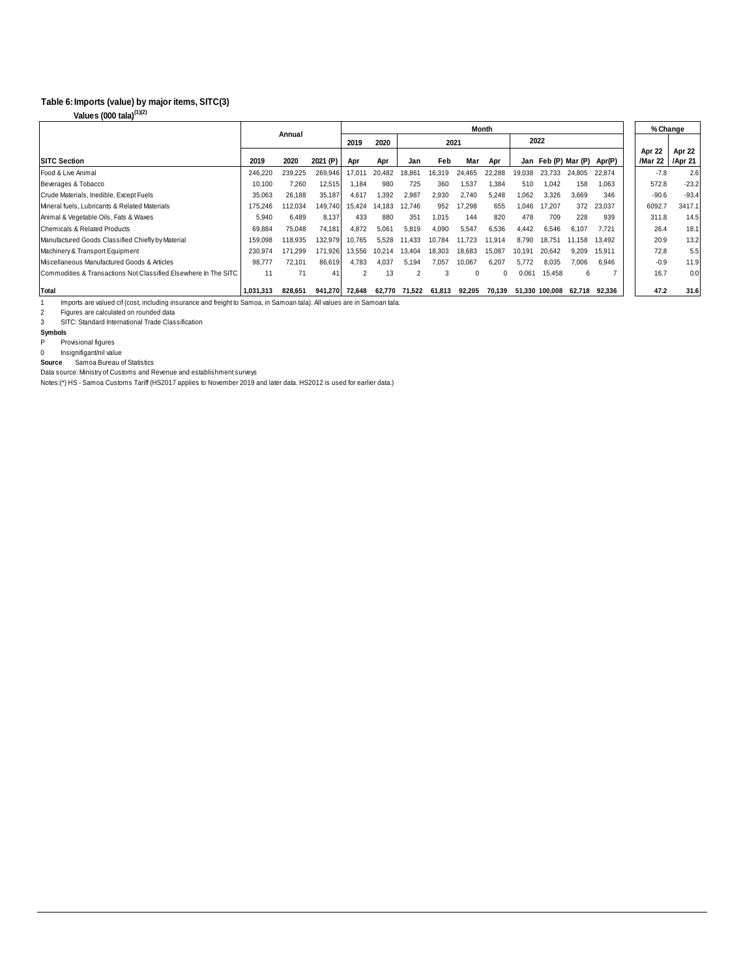#### **Imports (value) by major items, SITC(3) Table 6:**

**Values (000 tala)(1)(2)**

|                                                                 |           | Annual  |          | <b>Month</b>   |        |        |        |        |          |        |                     |        |        |  | % Change          |         |
|-----------------------------------------------------------------|-----------|---------|----------|----------------|--------|--------|--------|--------|----------|--------|---------------------|--------|--------|--|-------------------|---------|
|                                                                 |           |         |          | 2019           | 2020   |        | 2021   |        |          | 2022   |                     |        |        |  |                   |         |
|                                                                 | 2019      | 2020    |          |                |        |        |        |        |          |        |                     |        |        |  | Apr 22            | Apr 22  |
| <b>SITC Section</b>                                             |           |         | 2021 (P) | Apr            | Apr    | Jan    | Feb    | Mar    | Apr      |        | Jan Feb (P) Mar (P) |        | Apr(P) |  | /Mar 22   /Apr 21 |         |
| Food & Live Animal                                              | 246,220   | 239.225 | 269,946  | 17.011         | 20.482 | 18.861 | 16,319 | 24.465 | 22,288   | 19.038 | 23.733              | 24.805 | 22.874 |  | $-7.8$            | 2.6     |
| Beverages & Tobacco                                             | 10,100    | 7.260   | 12,515   | 1.184          | 980    | 725    | 360    | 1,537  | 1,384    | 510    | 1,042               | 158    | 1,063  |  | 572.8             | $-23.2$ |
| Crude Materials, Inedible, Except Fuels                         | 35,063    | 26.188  | 35,187   | 4.617          | 1,392  | 2,987  | 2,930  | 2.740  | 5.248    | 1.062  | 3,326               | 3.669  | 346    |  | $-90.6$           | $-93.4$ |
| Mineral fuels, Lubricants & Related Materials                   | 175,246   | 112.034 | 149.740  | 15.424         | 14.183 | 12.746 | 952    | 17.298 | 655      | 1.046  | 17.207              | 372    | 23.037 |  | 6092.7            | 3417.1  |
| Animal & Vegetable Oils, Fats & Waxes                           | 5,940     | 6.489   | 8.137    | 433            | 880    | 351    | 1.015  | 144    | 820      | 478    | 709                 | 228    | 939    |  | 311.8             | 14.5    |
| Chemicals & Related Products                                    | 69.884    | 75.048  | 74.181   | 4.872          | 5.061  | 5.819  | 4,090  | 5,547  | 6,536    | 4.442  | 6,546               | 6.107  | 7.721  |  | 26.4              | 18.1    |
| Manufactured Goods Classified Chiefly by Material               | 159,098   | 118.935 | 132,979  | 10.765         | 5.528  | 11,433 | 10.784 | 11.723 | 11,914   | 8.790  | 18.751              | 11.158 | 13.492 |  | 20.9              | 13.2    |
| Machinery & Transport Equipment                                 | 230.974   | 171.299 | 171.926  | 13.556         | 10.214 | 13.404 | 18.303 | 18.683 | 15.087   | 10.191 | 20.642              | 9.209  | 15.911 |  | 72.8              | 5.5     |
| Miscellaneous Manufactured Goods & Articles                     | 98.777    | 72.101  | 86.619   | 4.783          | 4.037  | 5.194  | 7.057  | 10.067 | 6.207    | 5.772  | 8.035               | 7,006  | 6.946  |  | $-0.9$            | 11.9    |
| Commodities & Transactions Not Classified Elsewhere In The SITC | 11        | 71      | 41       | $\overline{2}$ | 13     |        | 3      | 0      | $\Omega$ | 0.061  | 15.458              | 6      |        |  | 16.7              | 0.0     |
| Total                                                           | 1.031.313 | 828.651 | 941.270  | 72,648         | 62,770 | 71.522 | 61.813 | 92.205 | 70.139   |        | 51,330 100,008      | 62.718 | 92,336 |  | 47.2              | 31.6    |

1 Imports are valued cif (cost, including insurance and freight to Samoa, in Samoan tala). All values are in Samoan tala.

 $\begin{array}{c} 2 \\ 3 \end{array}$ Figures are calculated on rounded data

SITC: Standard International Trade Classification

**Symbols**

P Provisional figures

0 Insignifigant/nil value

 Samoa Bureau of Statistics **Source**

Data source: Ministry of Customs and Revenue and establishment surveys

Notes:(\*) HS - Samoa Customs Tariff (HS2017 applies to November 2019 and later data. HS2012 is used for earlier data.)